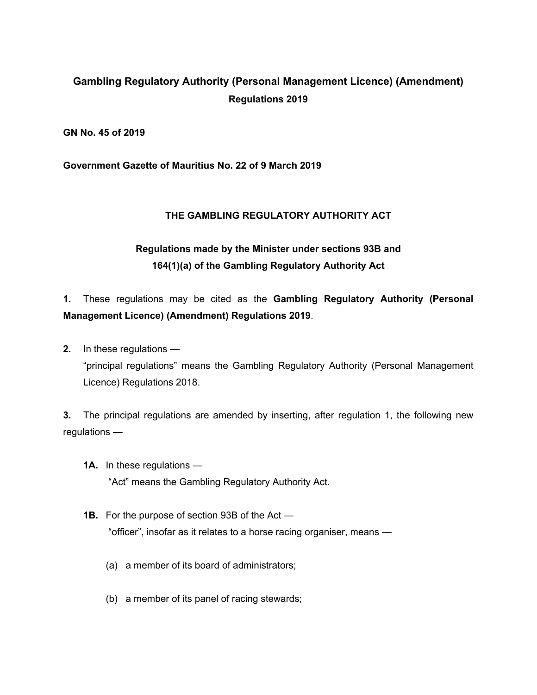## **Gambling Regulatory Authority (Personal Management Licence) (Amendment) Regulations 2019**

**GN No. 45 of 2019**

**Government Gazette of Mauritius No. 22 of 9 March 2019**

## **THE GAMBLING REGULATORY AUTHORITY ACT**

## **Regulations made by the Minister under sections 93B and 164(1)(a) of the Gambling Regulatory Authority Act**

**1.** These regulations may be cited as the **Gambling Regulatory Authority (Personal Management Licence) (Amendment) Regulations 2019**.

**2.** In these regulations — "principal regulations" means the Gambling Regulatory Authority (Personal Management Licence) Regulations 2018.

**3.** The principal regulations are amended by inserting, after regulation 1, the following new regulations —

- **1A.** In these regulations "Act" means the Gambling Regulatory Authority Act.
- **1B.** For the purpose of section 93B of the Act "officer", insofar as it relates to a horse racing organiser, means —
	- (a) a member of its board of administrators;
	- (b) a member of its panel of racing stewards;